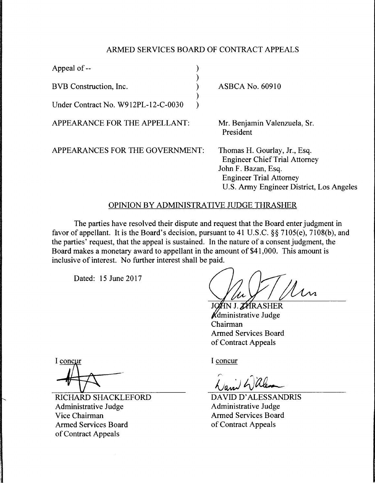## ARMED SERVICES BOARD OF CONTRACT APPEALS

)

)

Appeal of -- )

BVB Construction, Inc. )

Under Contract No. W912PL-12-C-0030 )

APPEARANCE FOR THE APPELLANT:

APPEARANCES FOR THE GOVERNMENT:

ASBCA No. 60910

Mr. Benjamin Valenzuela, Sr. President

Thomas H. Gourlay, Jr., Esq. Engineer Chief Trial Attorney John F. Bazan, Esq. Engineer Trial Attorney U.S. Army Engineer District, Los Angeles

## OPINION BY ADMINISTRATIVE JUDGE THRASHER

The parties have resolved their dispute and request that the Board enter judgment in favor of appellant. It is the Board's decision, pursuant to 41 U.S.C. §§ 7105(e), 7108(b), and the parties' request, that the appeal is sustained. In the nature of a consent judgment, the Board makes a monetary award to appellant in the amount of \$41,000. This amount is inclusive of interest. No further interest shall be paid.

Dated: 15 June 2017

Un

JOAN J. ZARASHER **K**dministrative Judge Chairman Armed Services Board of Contract Appeals

I concur

DA YID D' ALESSANDRIS Administrative Judge Armed Services Board of Contract Appeals

I concur

RICHARD SHACKLEFORD Administrative Judge Vice Chairman Armed Services Board of Contract Appeals